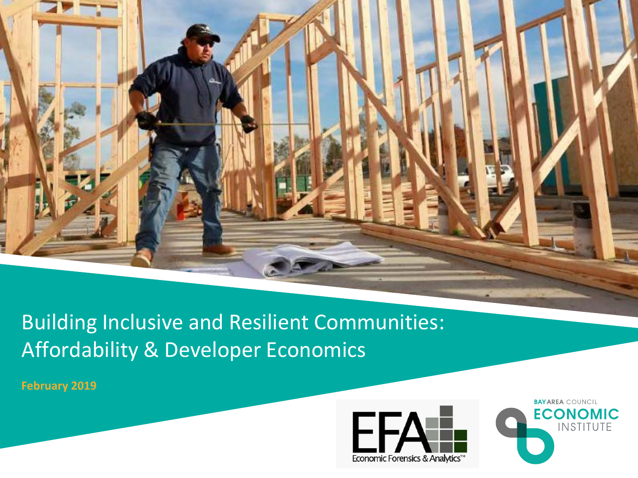

# Building Inclusive and Resilient Communities: Affordability & Developer Economics

**February 2019**



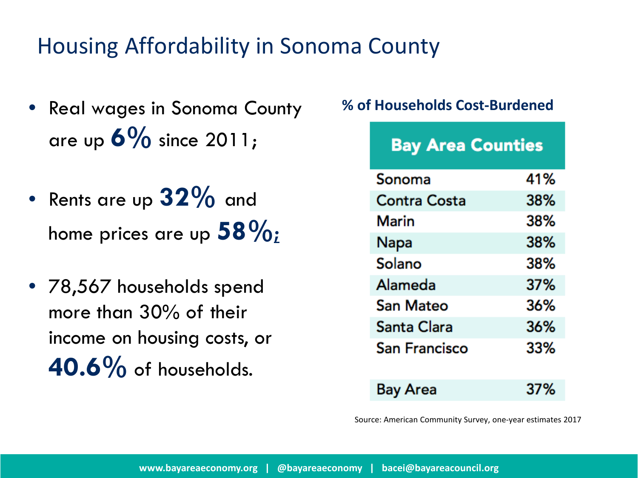# Housing Affordability in Sonoma County

- Real wages in Sonoma County are up **6%** since 2011;
- Rents are up **32%** and home prices are up **58%;**
- 78,567 households spend more than 30% of their income on housing costs, or **40.6%** of households.

#### **% of Households Cost-Burdened**

| <b>Bay Area Counties</b> |     |
|--------------------------|-----|
| Sonoma                   | 41% |
| Contra Costa             | 38% |
| <b>Marin</b>             | 38% |
| Napa                     | 38% |
| Solano                   | 38% |
| Alameda                  | 37% |
| San Mateo                | 36% |
| Santa Clara              | 36% |
| San Francisco            | 33% |
| Bay Area                 | 37% |

Source: American Community Survey, one-year estimates 2017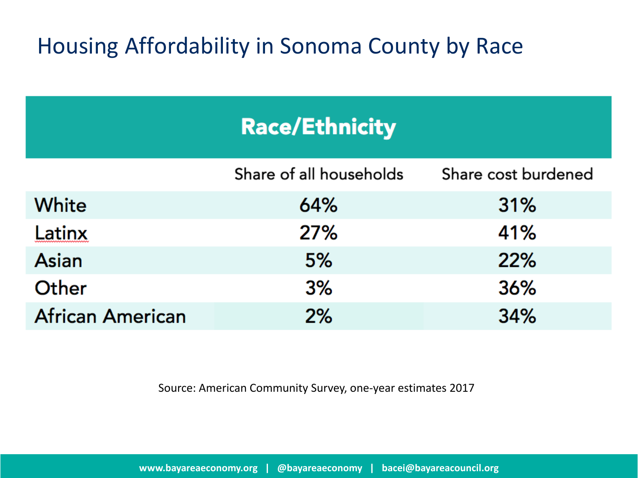# Housing Affordability in Sonoma County by Race

|                         | <b>Race/Ethnicity</b>   |                     |
|-------------------------|-------------------------|---------------------|
|                         | Share of all households | Share cost burdened |
| <b>White</b>            | 64%                     | 31%                 |
| Latinx                  | 27%                     | 41%                 |
| Asian                   | 5%                      | 22%                 |
| Other                   | 3%                      | 36%                 |
| <b>African American</b> | 2%                      | 34%                 |

Source: American Community Survey, one-year estimates 2017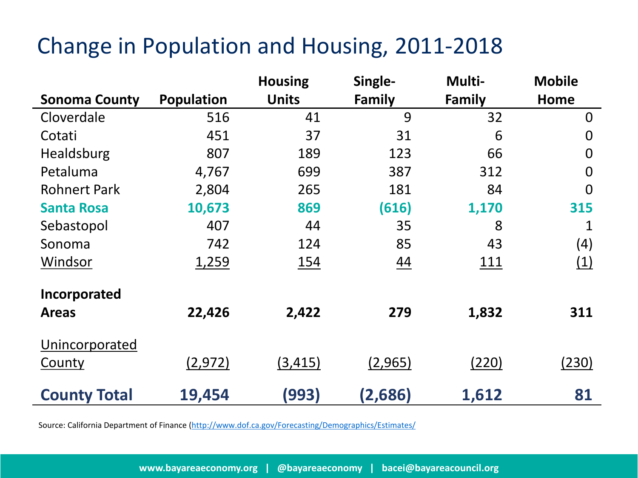# Change in Population and Housing, 2011-2018

|                      |                   | <b>Housing</b> | Single-       | Multi-        | <b>Mobile</b>  |
|----------------------|-------------------|----------------|---------------|---------------|----------------|
| <b>Sonoma County</b> | <b>Population</b> | <b>Units</b>   | <b>Family</b> | <b>Family</b> | <b>Home</b>    |
| Cloverdale           | 516               | 41             | 9             | 32            | $\overline{0}$ |
| Cotati               | 451               | 37             | 31            | 6             | $\overline{0}$ |
| Healdsburg           | 807               | 189            | 123           | 66            | $\overline{0}$ |
| Petaluma             | 4,767             | 699            | 387           | 312           | $\overline{0}$ |
| <b>Rohnert Park</b>  | 2,804             | 265            | 181           | 84            | $\overline{0}$ |
| <b>Santa Rosa</b>    | 10,673            | 869            | (616)         | 1,170         | 315            |
| Sebastopol           | 407               | 44             | 35            | 8             | 1              |
| Sonoma               | 742               | 124            | 85            | 43            | (4)            |
| Windsor              | 1,259             | 154            | 44            | <u>111</u>    | (1)            |
| Incorporated         |                   |                |               |               |                |
| <b>Areas</b>         | 22,426            | 2,422          | 279           | 1,832         | 311            |
| Unincorporated       |                   |                |               |               |                |
| County               | (2, 972)          | (3, 415)       | (2,965)       | (220)         | (230)          |
| <b>County Total</b>  | 19,454            | (993)          | (2,686)       | 1,612         | 81             |

Source: California Department of Finance [\(http://www.dof.ca.gov/Forecasting/Demographics/Estimates/](http://www.dof.ca.gov/Forecasting/Demographics/Estimates/)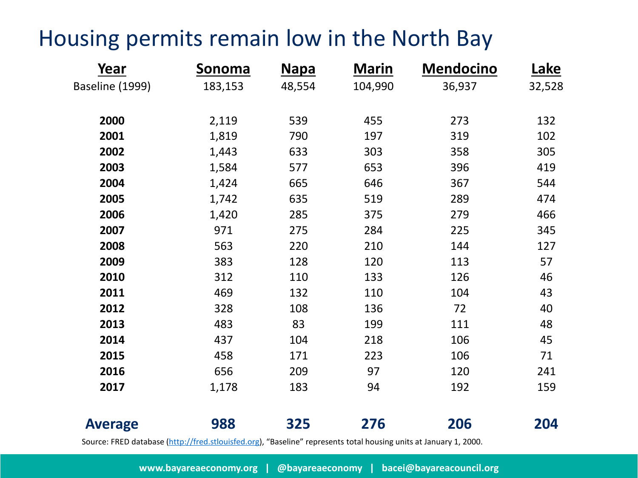# Housing permits remain low in the North Bay

| Year            | Sonoma                                                                                                            | <b>Napa</b> | <b>Marin</b> | <b>Mendocino</b> | <u>Lake</u> |
|-----------------|-------------------------------------------------------------------------------------------------------------------|-------------|--------------|------------------|-------------|
| Baseline (1999) | 183,153                                                                                                           | 48,554      | 104,990      | 36,937           | 32,528      |
| 2000            | 2,119                                                                                                             | 539         | 455          | 273              | 132         |
| 2001            | 1,819                                                                                                             | 790         | 197          | 319              | 102         |
| 2002            | 1,443                                                                                                             | 633         | 303          | 358              | 305         |
| 2003            | 1,584                                                                                                             | 577         | 653          | 396              | 419         |
| 2004            | 1,424                                                                                                             | 665         | 646          | 367              | 544         |
| 2005            | 1,742                                                                                                             | 635         | 519          | 289              | 474         |
| 2006            | 1,420                                                                                                             | 285         | 375          | 279              | 466         |
| 2007            | 971                                                                                                               | 275         | 284          | 225              | 345         |
| 2008            | 563                                                                                                               | 220         | 210          | 144              | 127         |
| 2009            | 383                                                                                                               | 128         | 120          | 113              | 57          |
| 2010            | 312                                                                                                               | 110         | 133          | 126              | 46          |
| 2011            | 469                                                                                                               | 132         | 110          | 104              | 43          |
| 2012            | 328                                                                                                               | 108         | 136          | 72               | 40          |
| 2013            | 483                                                                                                               | 83          | 199          | 111              | 48          |
| 2014            | 437                                                                                                               | 104         | 218          | 106              | 45          |
| 2015            | 458                                                                                                               | 171         | 223          | 106              | 71          |
| 2016            | 656                                                                                                               | 209         | 97           | 120              | 241         |
| 2017            | 1,178                                                                                                             | 183         | 94           | 192              | 159         |
| <b>Average</b>  | 988                                                                                                               | 325         | 276          | 206              | 204         |
|                 | Source: FRED database (http://fred.stlouisfed.org), "Baseline" represents total housing units at January 1, 2000. |             |              |                  |             |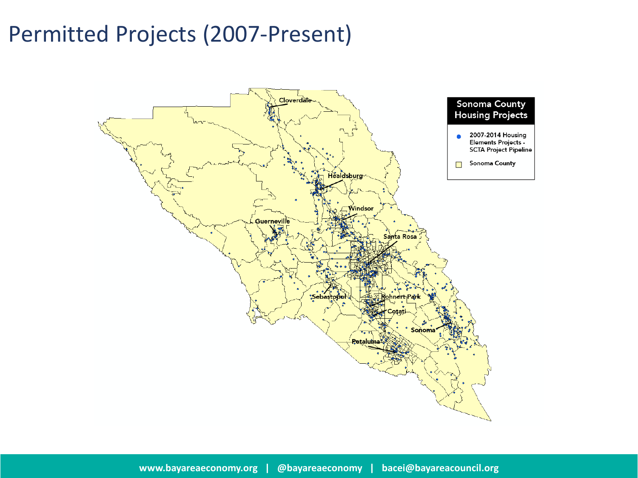# Permitted Projects (2007-Present)

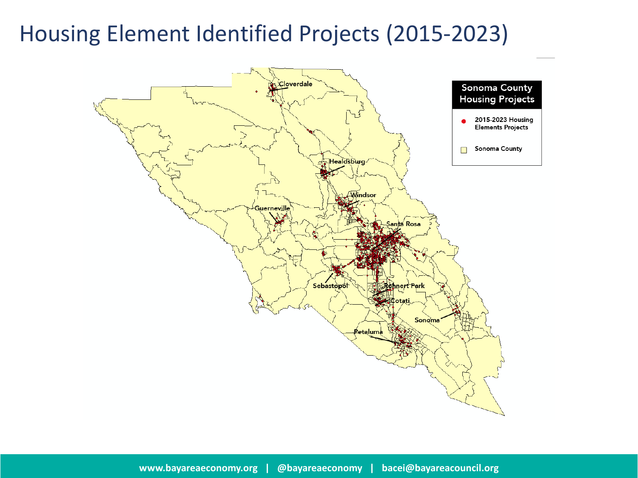## Housing Element Identified Projects (2015-2023)

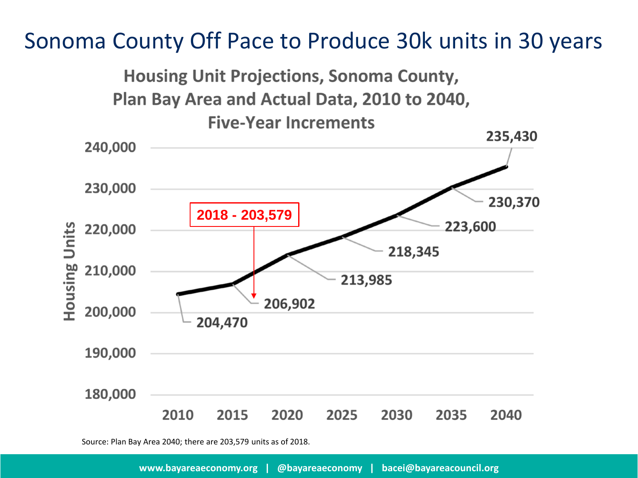### Sonoma County Off Pace to Produce 30k units in 30 years



Source: Plan Bay Area 2040; there are 203,579 units as of 2018.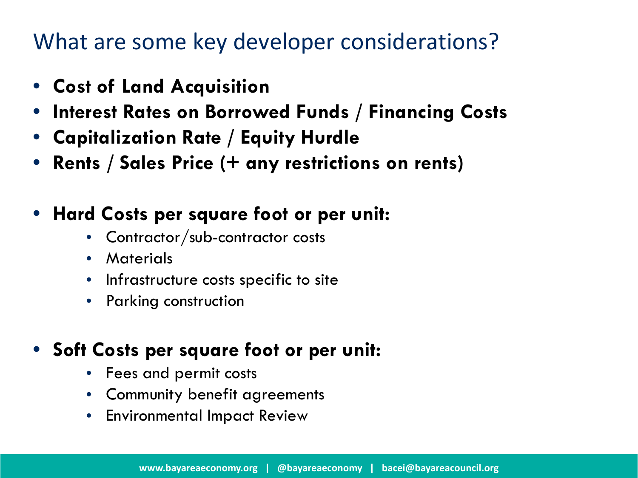## What are some key developer considerations?

- **Cost of Land Acquisition**
- **Interest Rates on Borrowed Funds / Financing Costs**
- **Capitalization Rate / Equity Hurdle**
- **Rents / Sales Price (+ any restrictions on rents)**

#### • **Hard Costs per square foot or per unit:**

- Contractor/sub-contractor costs
- Materials
- Infrastructure costs specific to site
- Parking construction

### • **Soft Costs per square foot or per unit:**

- Fees and permit costs
- Community benefit agreements
- Environmental Impact Review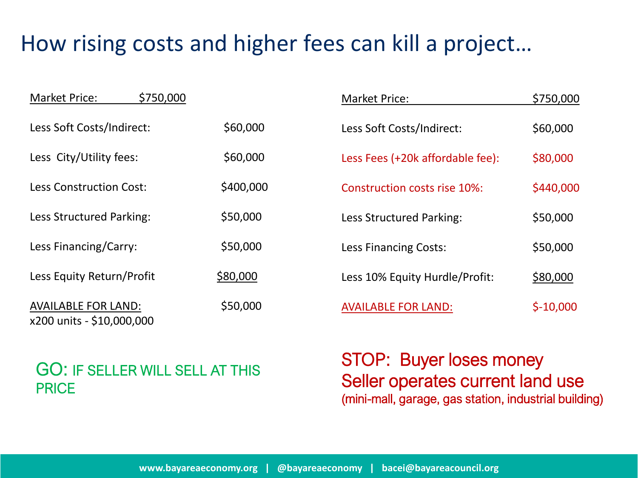# How rising costs and higher fees can kill a project…

| \$750,000<br><b>Market Price:</b>                       |           | Market Price:                       | \$750,000  |
|---------------------------------------------------------|-----------|-------------------------------------|------------|
| Less Soft Costs/Indirect:                               | \$60,000  | Less Soft Costs/Indirect:           | \$60,000   |
| Less City/Utility fees:                                 | \$60,000  | Less Fees (+20k affordable fee):    | \$80,000   |
| <b>Less Construction Cost:</b>                          | \$400,000 | <b>Construction costs rise 10%:</b> | \$440,000  |
| Less Structured Parking:                                | \$50,000  | Less Structured Parking:            | \$50,000   |
| Less Financing/Carry:                                   | \$50,000  | <b>Less Financing Costs:</b>        | \$50,000   |
| Less Equity Return/Profit                               | \$80,000  | Less 10% Equity Hurdle/Profit:      | \$80,000   |
| <b>AVAILABLE FOR LAND:</b><br>x200 units - \$10,000,000 | \$50,000  | <b>AVAILABLE FOR LAND:</b>          | $$-10,000$ |

#### GO: IF SELLER WILL SELL AT THIS PRICE

STOP: Buyer loses money Seller operates current land use (mini-mall, garage, gas station, industrial building)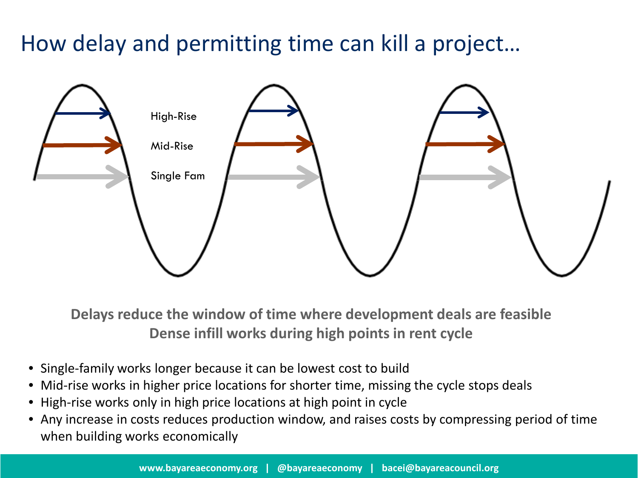# How delay and permitting time can kill a project…



**Delays reduce the window of time where development deals are feasible Dense infill works during high points in rent cycle** 

- Single-family works longer because it can be lowest cost to build
- Mid-rise works in higher price locations for shorter time, missing the cycle stops deals
- High-rise works only in high price locations at high point in cycle
- Any increase in costs reduces production window, and raises costs by compressing period of time when building works economically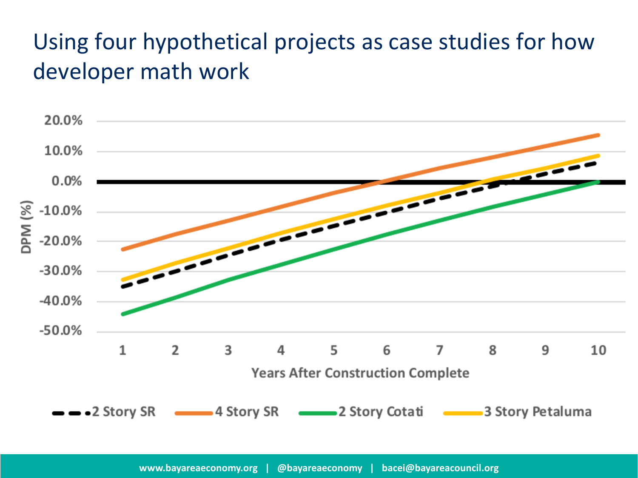# Using four hypothetical projects as case studies for how developer math work